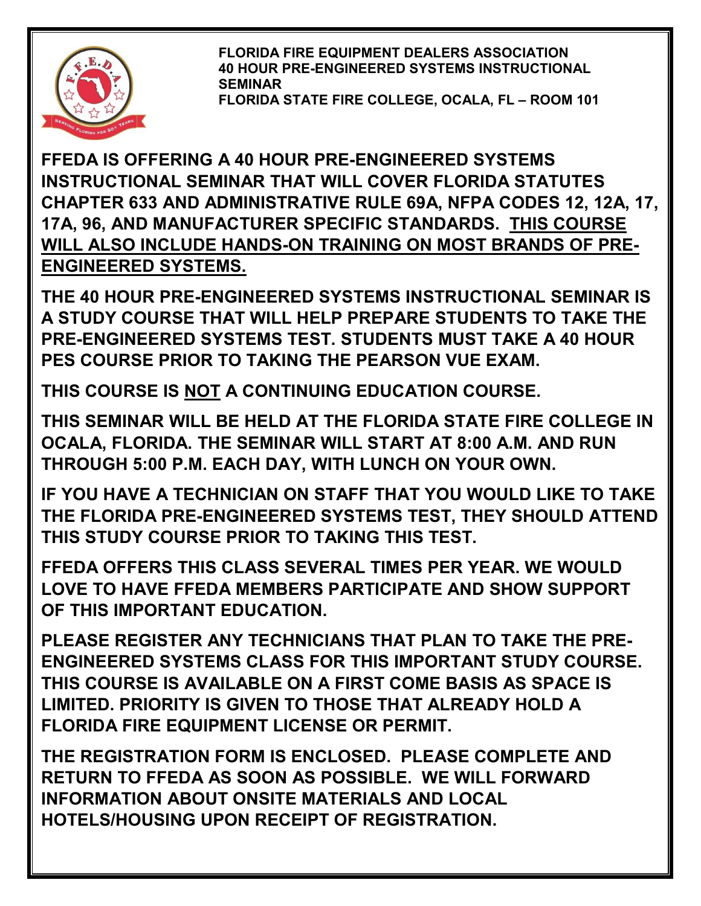

**FLORIDA FIRE EQUIPMENT DEALERS ASSOCIATION 40 HOUR PRE-ENGINEERED SYSTEMS INSTRUCTIONAL SEMINAR FLORIDA STATE FIRE COLLEGE, OCALA, FL – ROOM 101**

**FFEDA IS OFFERING A 40 HOUR PRE-ENGINEERED SYSTEMS INSTRUCTIONAL SEMINAR THAT WILL COVER FLORIDA STATUTES CHAPTER 633 AND ADMINISTRATIVE RULE 69A, NFPA CODES 12, 12A, 17, 17A, 96, AND MANUFACTURER SPECIFIC STANDARDS. THIS COURSE WILL ALSO INCLUDE HANDS-ON TRAINING ON MOST BRANDS OF PRE-ENGINEERED SYSTEMS.** 

**THE 40 HOUR PRE-ENGINEERED SYSTEMS INSTRUCTIONAL SEMINAR IS A STUDY COURSE THAT WILL HELP PREPARE STUDENTS TO TAKE THE PRE-ENGINEERED SYSTEMS TEST. STUDENTS MUST TAKE A 40 HOUR PES COURSE PRIOR TO TAKING THE PEARSON VUE EXAM.**

**THIS COURSE IS NOT A CONTINUING EDUCATION COURSE.** 

**THIS SEMINAR WILL BE HELD AT THE FLORIDA STATE FIRE COLLEGE IN OCALA, FLORIDA. THE SEMINAR WILL START AT 8:00 A.M. AND RUN THROUGH 5:00 P.M. EACH DAY, WITH LUNCH ON YOUR OWN.**

**IF YOU HAVE A TECHNICIAN ON STAFF THAT YOU WOULD LIKE TO TAKE THE FLORIDA PRE-ENGINEERED SYSTEMS TEST, THEY SHOULD ATTEND THIS STUDY COURSE PRIOR TO TAKING THIS TEST.**

**FFEDA OFFERS THIS CLASS SEVERAL TIMES PER YEAR. WE WOULD LOVE TO HAVE FFEDA MEMBERS PARTICIPATE AND SHOW SUPPORT OF THIS IMPORTANT EDUCATION.**

**PLEASE REGISTER ANY TECHNICIANS THAT PLAN TO TAKE THE PRE-ENGINEERED SYSTEMS CLASS FOR THIS IMPORTANT STUDY COURSE. THIS COURSE IS AVAILABLE ON A FIRST COME BASIS AS SPACE IS LIMITED. PRIORITY IS GIVEN TO THOSE THAT ALREADY HOLD A FLORIDA FIRE EQUIPMENT LICENSE OR PERMIT.** 

**THE REGISTRATION FORM IS ENCLOSED. PLEASE COMPLETE AND RETURN TO FFEDA AS SOON AS POSSIBLE. WE WILL FORWARD INFORMATION ABOUT ONSITE MATERIALS AND LOCAL HOTELS/HOUSING UPON RECEIPT OF REGISTRATION.**